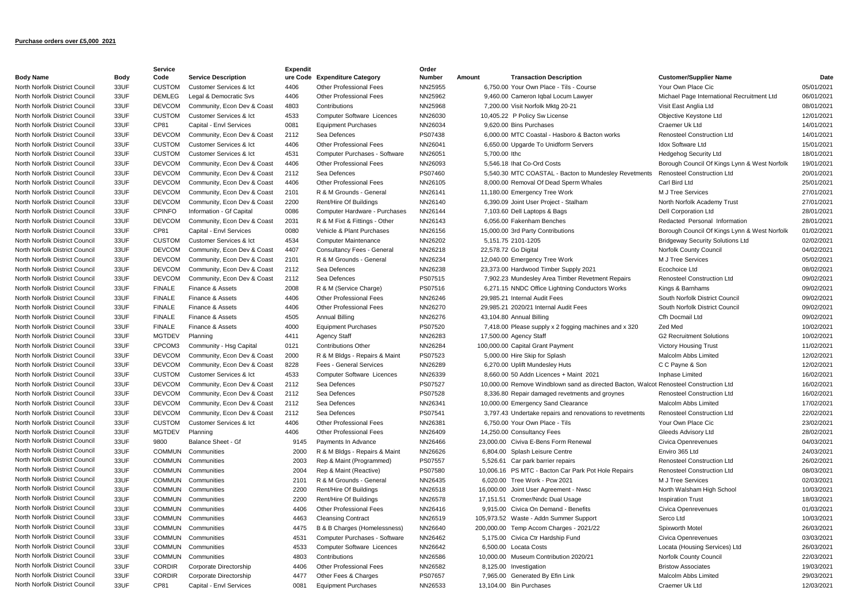## **Purchase orders over £5,000 2021**

|                                |             | Service       |                             | <b>Expendit</b> |                                   | Order   |        |                      |                                                                                       |                                              |            |
|--------------------------------|-------------|---------------|-----------------------------|-----------------|-----------------------------------|---------|--------|----------------------|---------------------------------------------------------------------------------------|----------------------------------------------|------------|
| <b>Body Name</b>               | <b>Body</b> | Code          | <b>Service Description</b>  | ure Code        | <b>Expenditure Category</b>       | Number  | Amount |                      | <b>Transaction Description</b>                                                        | <b>Customer/Supplier Name</b>                | Date       |
| North Norfolk District Council | 33UF        | <b>CUSTOM</b> | Customer Services & Ict     | 4406            | <b>Other Professional Fees</b>    | NN25955 |        |                      | 6,750.00 Your Own Place - Tils - Course                                               | Your Own Place Cic                           | 05/01/2021 |
| North Norfolk District Council | 33UF        | <b>DEMLEG</b> | Legal & Democratic Svs      | 4406            | <b>Other Professional Fees</b>    | NN25962 |        |                      | 9,460.00 Cameron Igbal Locum Lawyer                                                   | Michael Page International Recruitment Ltd   | 06/01/2021 |
| North Norfolk District Council | 33UF        | <b>DEVCOM</b> | Community, Econ Dev & Coast | 4803            | Contributions                     | NN25968 |        |                      | 7,200.00 Visit Norfolk Mktg 20-21                                                     | Visit East Anglia Ltd                        | 08/01/2021 |
| North Norfolk District Council | 33UF        | <b>CUSTOM</b> | Customer Services & Ict     | 4533            | Computer Software Licences        | NN26030 |        |                      | 10,405.22 P Policy Sw License                                                         | Objective Keystone Ltd                       | 12/01/2021 |
| North Norfolk District Council | 33UF        | CP81          | Capital - Envl Services     | 0081            | <b>Equipment Purchases</b>        | NN26034 |        |                      | 9,620.00 Bins Purchases                                                               | Craemer Uk Ltd                               | 14/01/2021 |
| North Norfolk District Council | 33UF        | <b>DEVCOM</b> | Community, Econ Dev & Coast | 2112            | Sea Defences                      | PS07438 |        |                      | 6.000.00 MTC Coastal - Hasboro & Bacton works                                         | <b>Renosteel Construction Ltd</b>            | 14/01/2021 |
| North Norfolk District Council | 33UF        | <b>CUSTOM</b> | Customer Services & Ict     | 4406            | <b>Other Professional Fees</b>    | NN26041 |        |                      | 6,650.00 Upgarde To Unidform Servers                                                  | Idox Software Ltd                            | 15/01/2021 |
| North Norfolk District Council | 33UF        | <b>CUSTOM</b> | Customer Services & Ict     | 4531            | Computer Purchases - Software     | NN26051 |        | 5,700.00 lthc        |                                                                                       | <b>Hedgehog Security Ltd</b>                 | 18/01/2021 |
| North Norfolk District Council | 33UF        | <b>DEVCOM</b> | Community, Econ Dev & Coast | 4406            | Other Professional Fees           | NN26093 |        |                      | 5.546.18 Ihat Co-Ord Costs                                                            | Borough Council Of Kings Lynn & West Norfolk | 19/01/2021 |
| North Norfolk District Council | 33UF        | <b>DEVCOM</b> | Community, Econ Dev & Coast | 2112            | Sea Defences                      | PS07460 |        |                      | 5,540.30 MTC COASTAL - Bacton to Mundesley Revetments                                 | <b>Renosteel Construction Ltd</b>            | 20/01/2021 |
| North Norfolk District Council | 33UF        | <b>DEVCOM</b> | Community, Econ Dev & Coast | 4406            | <b>Other Professional Fees</b>    | NN26105 |        |                      | 8,000.00 Removal Of Dead Sperm Whales                                                 | Carl Bird Ltd                                | 25/01/2021 |
| North Norfolk District Council | 33UF        | <b>DEVCOM</b> | Community, Econ Dev & Coast | 2101            | R & M Grounds - General           | NN26141 |        |                      | 11,180.00 Emergency Tree Work                                                         | M J Tree Services                            | 27/01/2021 |
| North Norfolk District Council | 33UF        | <b>DEVCOM</b> | Community, Econ Dev & Coast | 2200            | Rent/Hire Of Buildings            | NN26140 |        |                      | 6,390.09 Joint User Project - Stalham                                                 | North Norfolk Academy Trust                  | 27/01/2021 |
| North Norfolk District Council | 33UF        | <b>CPINFO</b> | Information - Gf Capital    | 0086            | Computer Hardware - Purchases     | NN26144 |        |                      | 7,103.60 Dell Laptops & Bags                                                          | <b>Dell Corporation Ltd</b>                  | 28/01/2021 |
| North Norfolk District Council | 33UF        | <b>DEVCOM</b> | Community, Econ Dev & Coast | 2031            | R & M Fixt & Fittings - Other     | NN26143 |        |                      | 6.056.00 Fakenham Benches                                                             | Redacted Personal Information                | 28/01/2021 |
| North Norfolk District Council | 33UF        | CP81          | Capital - Envl Services     | 0080            | Vehicle & Plant Purchases         | NN26156 |        |                      | 15,000.00 3rd Party Contributions                                                     | Borough Council Of Kings Lynn & West Norfolk | 01/02/2021 |
| North Norfolk District Council | 33UF        | <b>CUSTOM</b> | Customer Services & Ict     | 4534            | <b>Computer Maintenance</b>       | NN26202 |        |                      | 5,151.75 2101-1205                                                                    | <b>Bridgeway Security Solutions Ltd</b>      | 02/02/2021 |
| North Norfolk District Council | 33UF        | <b>DEVCOM</b> | Community, Econ Dev & Coast | 4407            | Consultancy Fees - General        | NN26218 |        | 22,578.72 Go Digital |                                                                                       | Norfolk County Council                       | 04/02/2021 |
| North Norfolk District Council | 33UF        | <b>DEVCOM</b> | Community, Econ Dev & Coast | 2101            | R & M Grounds - General           | NN26234 |        |                      | 12,040.00 Emergency Tree Work                                                         | M J Tree Services                            | 05/02/2021 |
| North Norfolk District Council | 33UF        | <b>DEVCOM</b> | Community, Econ Dev & Coast | 2112            | Sea Defences                      | NN26238 |        |                      | 23,373.00 Hardwood Timber Supply 2021                                                 | Ecochoice Ltd                                | 08/02/2021 |
| North Norfolk District Council | 33UF        | <b>DEVCOM</b> | Community, Econ Dev & Coast | 2112            | Sea Defences                      | PS07515 |        |                      | 7,902.23 Mundesley Area Timber Revetment Repairs                                      | <b>Renosteel Construction Ltd</b>            | 09/02/2021 |
| North Norfolk District Council | 33UF        | <b>FINALE</b> | Finance & Assets            | 2008            |                                   | PS07516 |        |                      | 6,271.15 NNDC Office Lightning Conductors Works                                       |                                              | 09/02/2021 |
|                                |             | <b>FINALE</b> | Finance & Assets            |                 | R & M (Service Charge)            |         |        |                      |                                                                                       | Kings & Barnhams                             |            |
| North Norfolk District Council | 33UF        |               |                             | 4406            | Other Professional Fees           | NN26246 |        |                      | 29,985.21 Internal Audit Fees                                                         | South Norfolk District Council               | 09/02/2021 |
| North Norfolk District Council | 33UF        | <b>FINALE</b> | Finance & Assets            | 4406            | <b>Other Professional Fees</b>    | NN26270 |        |                      | 29,985.21 2020/21 Internal Audit Fees                                                 | South Norfolk District Council               | 09/02/2021 |
| North Norfolk District Council | 33UF        | <b>FINALE</b> | Finance & Assets            | 4505            | <b>Annual Billing</b>             | NN26276 |        |                      | 43,104.80 Annual Billing                                                              | Cfh Docmail Ltd                              | 09/02/2021 |
| North Norfolk District Council | 33UF        | <b>FINALE</b> | Finance & Assets            | 4000            | <b>Equipment Purchases</b>        | PS07520 |        |                      | 7,418.00 Please supply x 2 fogging machines and x 320                                 | Zed Med                                      | 10/02/2021 |
| North Norfolk District Council | 33UF        | <b>MGTDEV</b> | Planning                    | 4411            | <b>Agency Staff</b>               | NN26283 |        |                      | 17,500.00 Agency Staff                                                                | <b>G2 Recruitment Solutions</b>              | 10/02/2021 |
| North Norfolk District Council | 33UF        | CPCOM3        | Community - Hsg Capital     | 0121            | <b>Contributions Other</b>        | NN26284 |        |                      | 100,000.00 Capital Grant Payment                                                      | <b>Victory Housing Trust</b>                 | 11/02/2021 |
| North Norfolk District Council | 33UF        | <b>DEVCOM</b> | Community, Econ Dev & Coast | 2000            | R & M Bldgs - Repairs & Maint     | PS07523 |        |                      | 5,000.00 Hire Skip for Splash                                                         | Malcolm Abbs Limited                         | 12/02/2021 |
| North Norfolk District Council | 33UF        | <b>DEVCOM</b> | Community, Econ Dev & Coast | 8228            | Fees - General Services           | NN26289 |        |                      | 6,270.00 Uplift Mundesley Huts                                                        | C C Payne & Son                              | 12/02/2021 |
| North Norfolk District Council | 33UF        | <b>CUSTOM</b> | Customer Services & Ict     | 4533            | <b>Computer Software Licences</b> | NN26339 |        |                      | 8,660.00 50 Addn Licences + Maint 2021                                                | Inphase Limited                              | 16/02/2021 |
| North Norfolk District Council | 33UF        | <b>DEVCOM</b> | Community, Econ Dev & Coast | 2112            | Sea Defences                      | PS07527 |        |                      | 10,000.00 Remove Windblown sand as directed Bacton, Walcot Renosteel Construction Ltd |                                              | 16/02/2021 |
| North Norfolk District Council | 33UF        | <b>DEVCOM</b> | Community, Econ Dev & Coast | 2112            | Sea Defences                      | PS07528 |        |                      | 8,336.80 Repair damaged revetments and groynes                                        | <b>Renosteel Construction Ltd</b>            | 16/02/2021 |
| North Norfolk District Council | 33UF        | <b>DEVCOM</b> | Community, Econ Dev & Coast | 2112            | Sea Defences                      | NN26341 |        |                      | 10,000.00 Emergency Sand Clearance                                                    | Malcolm Abbs Limited                         | 17/02/2021 |
| North Norfolk District Council | 33UF        | <b>DEVCOM</b> | Community, Econ Dev & Coast | 2112            | Sea Defences                      | PS07541 |        |                      | 3,797.43 Undertake repairs and renovations to revetments                              | <b>Renosteel Construction Ltd</b>            | 22/02/2021 |
| North Norfolk District Council | 33UF        | <b>CUSTOM</b> | Customer Services & Ict     | 4406            | Other Professional Fees           | NN26381 |        |                      | 6,750.00 Your Own Place - Tils                                                        | Your Own Place Cic                           | 23/02/2021 |
| North Norfolk District Council | 33UF        | <b>MGTDEV</b> | Planning                    | 4406            | <b>Other Professional Fees</b>    | NN26409 |        |                      | 14,250.00 Consultancy Fees                                                            | Gleeds Advisory Ltd                          | 28/02/2021 |
| North Norfolk District Council | 33UF        | 9800          | <b>Balance Sheet - Gf</b>   | 9145            | Payments In Advance               | NN26466 |        |                      | 23,000.00 Civiva E-Bens Form Renewal                                                  | Civica Openrevenues                          | 04/03/2021 |
| North Norfolk District Council | 33UF        | <b>COMMUN</b> | Communities                 | 2000            | R & M Bldgs - Repairs & Maint     | NN26626 |        |                      | 6,804.00 Splash Leisure Centre                                                        | Enviro 365 Ltd                               | 24/03/2021 |
| North Norfolk District Council | 33UF        | <b>COMMUN</b> | Communities                 | 2003            | Rep & Maint (Programmed)          | PS07557 |        | 5.526.61             | Car park barrier repairs                                                              | <b>Renosteel Construction Ltd</b>            | 26/02/2021 |
| North Norfolk District Council | 33UF        | <b>COMMUN</b> | Communities                 | 2004            | Rep & Maint (Reactive)            | PS07580 |        |                      | 10,006.16 PS MTC - Bacton Car Park Pot Hole Repairs                                   | <b>Renosteel Construction Ltd</b>            | 08/03/2021 |
| North Norfolk District Council | 33UF        | <b>COMMUN</b> | Communities                 | 2101            | R & M Grounds - General           | NN26435 |        |                      | 6,020.00 Tree Work - Pcw 2021                                                         | M J Tree Services                            | 02/03/2021 |
| North Norfolk District Council | 33UF        | <b>COMMUN</b> | Communities                 | 2200            | Rent/Hire Of Buildings            | NN26518 |        |                      | 16,000.00 Joint User Agreement - Nwsc                                                 | North Walsham High School                    | 10/03/2021 |
| North Norfolk District Council | 33UF        | <b>COMMUN</b> | Communities                 | 2200            | Rent/Hire Of Buildings            | NN26578 |        |                      | 17,151.51 Cromer/Nndc Dual Usage                                                      | <b>Inspiration Trust</b>                     | 18/03/2021 |
| North Norfolk District Council | 33UF        | <b>COMMUN</b> | Communities                 | 4406            | <b>Other Professional Fees</b>    | NN26416 |        |                      | 9,915.00 Civica On Demand - Benefits                                                  | Civica Openrevenues                          | 01/03/2021 |
| North Norfolk District Council | 33UF        | <b>COMMUN</b> | Communities                 | 4463            | <b>Cleansing Contract</b>         | NN26519 |        |                      | 105,973.52 Waste - Addn Summer Support                                                | Serco Ltd                                    | 10/03/2021 |
| North Norfolk District Council | 33UF        | <b>COMMUN</b> | Communities                 | 4475            | B & B Charges (Homelessness)      | NN26640 |        |                      | 200,000.00 Temp Accom Charges - 2021/22                                               | Spixworth Motel                              | 26/03/2021 |
| North Norfolk District Council | 33UF        | <b>COMMUN</b> | Communities                 | 4531            | Computer Purchases - Software     | NN26462 |        |                      | 5,175.00 Civica Ctr Hardship Fund                                                     | Civica Openrevenues                          | 03/03/2021 |
| North Norfolk District Council | 33UF        | <b>COMMUN</b> | Communities                 | 4533            | Computer Software Licences        | NN26642 |        |                      | 6,500.00 Locata Costs                                                                 | Locata (Housing Services) Ltd                | 26/03/2021 |
| North Norfolk District Council | 33UF        | <b>COMMUN</b> | Communities                 | 4803            | Contributions                     | NN26586 |        |                      | 10,000.00 Museum Contribution 2020/21                                                 | Norfolk County Council                       | 22/03/2021 |
| North Norfolk District Council | 33UF        | <b>CORDIR</b> | Corporate Directorship      | 4406            | Other Professional Fees           | NN26582 |        |                      | 8,125.00 Investigation                                                                | <b>Bristow Associates</b>                    | 19/03/2021 |
| North Norfolk District Council | 33UF        | <b>CORDIR</b> | Corporate Directorship      | 4477            | Other Fees & Charges              | PS07657 |        |                      | 7.965.00 Generated By Efin Link                                                       | Malcolm Abbs Limited                         | 29/03/2021 |
| North Norfolk District Council | 33UF        | CP81          | Capital - Envl Services     | 0081            | <b>Equipment Purchases</b>        | NN26533 |        |                      | 13,104.00 Bin Purchases                                                               | Craemer Uk Ltd                               | 12/03/2021 |
|                                |             |               |                             |                 |                                   |         |        |                      |                                                                                       |                                              |            |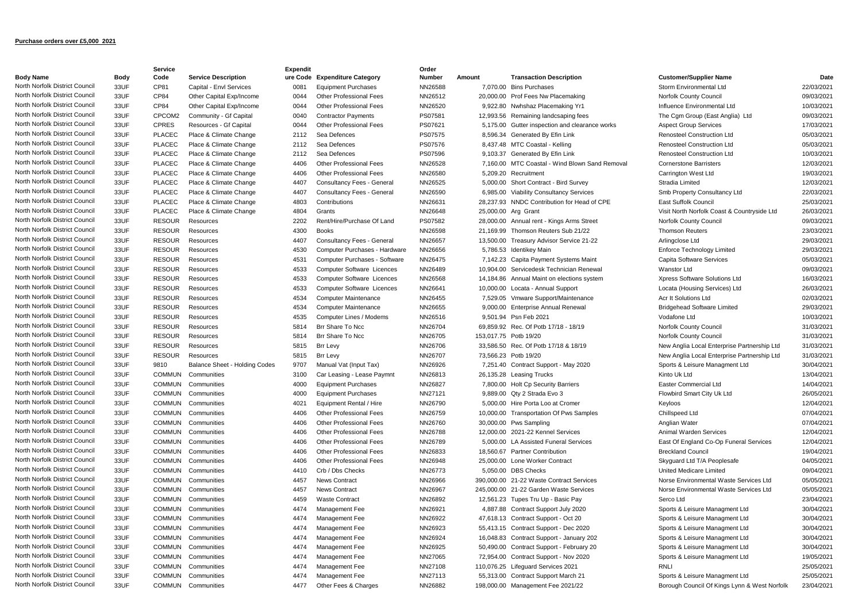## **Purchase orders over £5,000 2021**

|                                |              | Service                        |                               | <b>Expendit</b> |                                                                  | Order              |                       |                                                             |                                              |                          |
|--------------------------------|--------------|--------------------------------|-------------------------------|-----------------|------------------------------------------------------------------|--------------------|-----------------------|-------------------------------------------------------------|----------------------------------------------|--------------------------|
| <b>Body Name</b>               | Body         | Code                           | <b>Service Description</b>    | ure Code        | <b>Expenditure Category</b>                                      | <b>Number</b>      | Amount                | <b>Transaction Description</b>                              | <b>Customer/Supplier Name</b>                | Date                     |
| North Norfolk District Council | 33UF         | CP81                           | Capital - Envl Services       | 0081            | <b>Equipment Purchases</b>                                       | NN26588            |                       | 7,070.00 Bins Purchases                                     | Storm Environmental Ltd                      | 22/03/2021               |
| North Norfolk District Council | 33UF         | CP84                           | Other Capital Exp/Income      | 0044            | <b>Other Professional Fees</b>                                   | NN26512            |                       | 20,000.00 Prof Fees Nw Placemaking                          | Norfolk County Council                       | 09/03/2021               |
| North Norfolk District Council | 33UF         | CP84                           | Other Capital Exp/Income      | 0044            | <b>Other Professional Fees</b>                                   | NN26520            |                       | 9,922.80 Nwhshaz Placemaking Yr1                            | Influence Environmental Ltd                  | 10/03/2021               |
| North Norfolk District Council | 33UF         | CPCOM2                         | Community - Gf Capital        | 0040            | <b>Contractor Payments</b>                                       | PS07581            |                       | 12,993.56 Remaining landcsaping fees                        | The Cgm Group (East Anglia) Ltd              | 09/03/2021               |
| North Norfolk District Council | 33UF         | <b>CPRES</b>                   | Resources - Gf Capital        | 0044            | <b>Other Professional Fees</b>                                   | PS07621            |                       | 5,175.00 Gutter inspection and clearance works              | <b>Aspect Group Services</b>                 | 17/03/2021               |
| North Norfolk District Council | 33UF         | <b>PLACEC</b>                  | Place & Climate Change        | 2112            | Sea Defences                                                     | PS07575            |                       | 8,596.34 Generated By Efin Link                             | <b>Renosteel Construction Ltd</b>            | 05/03/2021               |
| North Norfolk District Council | 33UF         | <b>PLACEC</b>                  | Place & Climate Change        | 2112            | Sea Defences                                                     | PS07576            |                       | 8,437.48 MTC Coastal - Kelling                              | <b>Renosteel Construction Ltd</b>            | 05/03/2021               |
| North Norfolk District Council | 33UF         | <b>PLACEC</b>                  | Place & Climate Change        | 2112            | Sea Defences                                                     | PS07596            |                       | 9,103.37 Generated By Efin Link                             | Renosteel Construction Ltd                   | 10/03/2021               |
| North Norfolk District Council | 33UF         | <b>PLACEC</b>                  | Place & Climate Change        | 4406            | <b>Other Professional Fees</b>                                   | NN26528            |                       | 7.160.00 MTC Coastal - Wind Blown Sand Removal              | <b>Cornerstone Barristers</b>                | 12/03/2021               |
| North Norfolk District Council | 33UF         | <b>PLACEC</b>                  | Place & Climate Change        | 4406            | Other Professional Fees                                          | NN26580            |                       | 5.209.20 Recruitment                                        | Carrington West Ltd                          | 19/03/2021               |
| North Norfolk District Council | 33UF         | <b>PLACEC</b>                  | Place & Climate Change        | 4407            | Consultancy Fees - General                                       | NN26525            |                       | 5,000.00 Short Contract - Bird Survey                       | Stradia Limited                              | 12/03/2021               |
| North Norfolk District Council | 33UF         | <b>PLACEC</b>                  | Place & Climate Change        | 4407            | Consultancy Fees - General                                       | NN26590            |                       | 6,985.00 Viability Consultancy Services                     | Smb Property Consultancy Ltd                 | 22/03/2021               |
| North Norfolk District Council | 33UF         | <b>PLACEC</b>                  | Place & Climate Change        | 4803            | Contributions                                                    | NN26631            |                       | 28,237.93 NNDC Contribution for Head of CPE                 | East Suffolk Council                         | 25/03/2021               |
| North Norfolk District Council | 33UF         | <b>PLACEC</b>                  | Place & Climate Change        | 4804            | Grants                                                           | NN26648            |                       | 25,000.00 Arg Grant                                         | Visit North Norfolk Coast & Countryside Ltd  | 26/03/2021               |
| North Norfolk District Council | 33UF         | <b>RESOUR</b>                  | Resources                     | 2202            | Rent/Hire/Purchase Of Land                                       | PS07582            |                       | 28,000.00 Annual rent - Kings Arms Street                   | Norfolk County Council                       | 09/03/2021               |
| North Norfolk District Council | 33UF         | <b>RESOUR</b>                  | Resources                     | 4300            | <b>Books</b>                                                     | NN26598            |                       | 21,169.99 Thomson Reuters Sub 21/22                         | <b>Thomson Reuters</b>                       | 23/03/2021               |
| North Norfolk District Council | 33UF         | <b>RESOUR</b>                  | Resources                     | 4407            | Consultancy Fees - General                                       | NN26657            |                       | 13,500.00 Treasury Advisor Service 21-22                    | Arlingclose Ltd                              | 29/03/2021               |
| North Norfolk District Council | 33UF         | <b>RESOUR</b>                  | Resources                     | 4530            | Computer Purchases - Hardware                                    | NN26656            |                       | 5,786.53 Identikey Main                                     | <b>Enforce Technology Limited</b>            | 29/03/2021               |
| North Norfolk District Council | 33UF         | <b>RESOUR</b>                  | Resources                     | 4531            | Computer Purchases - Software                                    | NN26475            |                       | 7,142.23 Capita Payment Systems Maint                       | Capita Software Services                     | 05/03/2021               |
| North Norfolk District Council | 33UF         | <b>RESOUR</b>                  | Resources                     | 4533            | <b>Computer Software Licences</b>                                | NN26489            |                       | 10,904.00 Servicedesk Technician Renewal                    | <b>Wanstor Ltd</b>                           | 09/03/2021               |
| North Norfolk District Council | 33UF         | <b>RESOUR</b>                  | Resources                     | 4533            | Computer Software Licences                                       | NN26568            |                       | 14,184.86 Annual Maint on elections system                  | Xpress Software Solutions Ltd                | 16/03/2021               |
| North Norfolk District Council | 33UF         | <b>RESOUR</b>                  | Resources                     | 4533            | Computer Software Licences                                       | NN26641            |                       | 10,000.00 Locata - Annual Support                           | Locata (Housing Services) Ltd                | 26/03/2021               |
| North Norfolk District Council | 33UF         | <b>RESOUR</b>                  | Resources                     | 4534            | Computer Maintenance                                             | NN26455            |                       | 7,529.05 Vmware Support/Maintenance                         | Acr It Solutions Ltd                         | 02/03/2021               |
| North Norfolk District Council | 33UF         | <b>RESOUR</b>                  | Resources                     | 4534            | Computer Maintenance                                             | NN26655            |                       | 9,000.00 Enterprise Annual Renewal                          | <b>Bridgehead Software Limited</b>           | 29/03/2021               |
| North Norfolk District Council | 33UF         | <b>RESOUR</b>                  | Resources                     | 4535            | Computer Lines / Modems                                          | NN26516            |                       | 9,501.94 Psn Feb 2021                                       | Vodafone Ltd                                 | 10/03/2021               |
| North Norfolk District Council | 33UF         | <b>RESOUR</b>                  | Resources                     | 5814            | Brr Share To Ncc                                                 | NN26704            |                       | 69,859.92 Rec. Of Potb 17/18 - 18/19                        | Norfolk County Council                       | 31/03/2021               |
| North Norfolk District Council | 33UF         | <b>RESOUR</b>                  | Resources                     | 5814            | Brr Share To Ncc                                                 | NN26705            | 153,017.75 Potb 19/20 |                                                             | <b>Norfolk County Council</b>                | 31/03/2021               |
| North Norfolk District Council | 33UF         | <b>RESOUR</b>                  | Resources                     | 5815            | Brr Levy                                                         | NN26706            |                       | 33,586.50 Rec. Of Potb 17/18 & 18/19                        | New Anglia Local Enterprise Partnership Ltd  | 31/03/2021               |
| North Norfolk District Council | 33UF         | <b>RESOUR</b>                  | Resources                     | 5815            | <b>Brr Levy</b>                                                  | NN26707            |                       | 73,566.23 Potb 19/20                                        | New Anglia Local Enterprise Partnership Ltd  | 31/03/2021               |
| North Norfolk District Council | 33UF         | 9810                           | Balance Sheet - Holding Codes | 9707            | Manual Vat (Input Tax)                                           | NN26926            |                       | 7,251.40 Contract Support - May 2020                        | Sports & Leisure Managment Ltd               | 30/04/2021               |
| North Norfolk District Council | 33UF         | <b>COMMUN</b>                  | Communities                   | 3100            | Car Leasing - Lease Paymnt                                       | NN26813            |                       | 26,135.28 Leasing Trucks                                    | Kinto Uk Ltd                                 | 13/04/2021               |
| North Norfolk District Council | 33UF         | <b>COMMUN</b>                  | Communities                   | 4000            | <b>Equipment Purchases</b>                                       | NN26827            |                       | 7,800.00 Holt Cp Security Barriers                          | Easter Commercial Ltd                        | 14/04/2021               |
| North Norfolk District Council | 33UF         | <b>COMMUN</b>                  | Communities                   | 4000            | <b>Equipment Purchases</b>                                       | NN27121            |                       | 9,889.00 Qty 2 Strada Evo 3                                 | Flowbird Smart City Uk Ltd                   | 26/05/2021               |
| North Norfolk District Council | 33UF         | <b>COMMUN</b>                  | Communities                   | 4021            | Equipment Rental / Hire                                          | NN26790            |                       | 5,000.00 Hire Porta Loo at Cromer                           | Keyloos                                      | 12/04/2021               |
| North Norfolk District Council | 33UF         | <b>COMMUN</b>                  | Communities                   | 4406            | <b>Other Professional Fees</b>                                   | NN26759            |                       | 10,000.00 Transportation Of Pws Samples                     |                                              | 07/04/2021               |
| North Norfolk District Council | 33UF         |                                |                               | 4406            | <b>Other Professional Fees</b>                                   |                    |                       |                                                             | Chillspeed Ltd                               | 07/04/2021               |
| North Norfolk District Council | 33UF         | <b>COMMUN</b><br><b>COMMUN</b> | Communities<br>Communities    | 4406            | Other Professional Fees                                          | NN26760<br>NN26788 |                       | 30,000.00 Pws Sampling<br>12,000.00 2021-22 Kennel Services | Anglian Water<br>Animal Warden Services      | 12/04/2021               |
| North Norfolk District Council |              |                                |                               | 4406            | <b>Other Professional Fees</b>                                   |                    |                       | 5.000.00 LA Assisted Funeral Services                       |                                              | 12/04/2021               |
| North Norfolk District Council | 33UF<br>33UF | <b>COMMUN</b>                  | Communities                   |                 |                                                                  | NN26789            |                       |                                                             | East Of England Co-Op Funeral Services       |                          |
| North Norfolk District Council |              | <b>COMMUN</b>                  | Communities                   | 4406<br>4406    | <b>Other Professional Fees</b><br><b>Other Professional Fees</b> | NN26833            |                       | 18,560.67 Partner Contribution                              | <b>Breckland Council</b>                     | 19/04/2021<br>04/05/2021 |
| North Norfolk District Council | 33UF         | <b>COMMUN</b>                  | Communities                   |                 |                                                                  | NN26948            |                       | 25,000,00 Lone Worker Contract                              | Skyguard Ltd T/A Peoplesafe                  |                          |
| North Norfolk District Council | 33UF         | <b>COMMUN</b>                  | Communities                   | 4410            | Crb / Dbs Checks                                                 | NN26773            |                       | 5.050.00 DBS Checks                                         | United Medicare Limited                      | 09/04/2021               |
| North Norfolk District Council | 33UF         | <b>COMMUN</b>                  | Communities                   | 4457            | <b>News Contract</b>                                             | NN26966            |                       | 390,000.00 21-22 Waste Contract Services                    | Norse Environmental Waste Services Ltd       | 05/05/2021               |
| North Norfolk District Council | 33UF         | <b>COMMUN</b>                  | Communities                   | 4457            | News Contract                                                    | NN26967            |                       | 245,000.00 21-22 Garden Waste Services                      | Norse Environmental Waste Services Ltd       | 05/05/2021               |
|                                | 33UF         | <b>COMMUN</b>                  | Communities                   | 4459            | <b>Waste Contract</b>                                            | NN26892            |                       | 12,561.23 Tupes Tru Up - Basic Pay                          | Serco Ltd                                    | 23/04/2021               |
| North Norfolk District Council | 33UF         | <b>COMMUN</b>                  | Communities                   | 4474            | Management Fee                                                   | NN26921            |                       | 4,887.88 Contract Support July 2020                         | Sports & Leisure Managment Ltd               | 30/04/2021               |
| North Norfolk District Council | 33UF         | <b>COMMUN</b>                  | Communities                   | 4474            | Management Fee                                                   | NN26922            |                       | 47,618.13 Contract Support - Oct 20                         | Sports & Leisure Managment Ltd               | 30/04/2021               |
| North Norfolk District Council | 33UF         | <b>COMMUN</b>                  | Communities                   | 4474            | Management Fee                                                   | NN26923            |                       | 55,413.15 Contract Support - Dec 2020                       | Sports & Leisure Managment Ltd               | 30/04/2021               |
| North Norfolk District Council | 33UF         | <b>COMMUN</b>                  | Communities                   | 4474            | Management Fee                                                   | NN26924            |                       | 16,048.83 Contract Support - January 202                    | Sports & Leisure Managment Ltd               | 30/04/2021               |
| North Norfolk District Council | 33UF         | <b>COMMUN</b>                  | Communities                   | 4474            | Management Fee                                                   | NN26925            |                       | 50,490.00 Contract Support - February 20                    | Sports & Leisure Managment Ltd               | 30/04/2021               |
| North Norfolk District Council | 33UF         | <b>COMMUN</b>                  | Communities                   | 4474            | Management Fee                                                   | NN27065            |                       | 72,954.00 Contract Support - Nov 2020                       | Sports & Leisure Managment Ltd               | 19/05/2021               |
| North Norfolk District Council | 33UF         | <b>COMMUN</b>                  | Communities                   | 4474            | Management Fee                                                   | NN27108            |                       | 110,076.25 Lifequard Services 2021                          | <b>RNLI</b>                                  | 25/05/2021               |
| North Norfolk District Council | 33UF         | <b>COMMUN</b>                  | Communities                   | 4474            | Management Fee                                                   | NN27113            |                       | 55,313.00 Contract Support March 21                         | Sports & Leisure Managment Ltd               | 25/05/2021               |
| North Norfolk District Council | 33UF         | <b>COMMUN</b>                  | Communities                   | 4477            | Other Fees & Charges                                             | NN26882            |                       | 198,000.00 Management Fee 2021/22                           | Borough Council Of Kings Lynn & West Norfolk | 23/04/2021               |